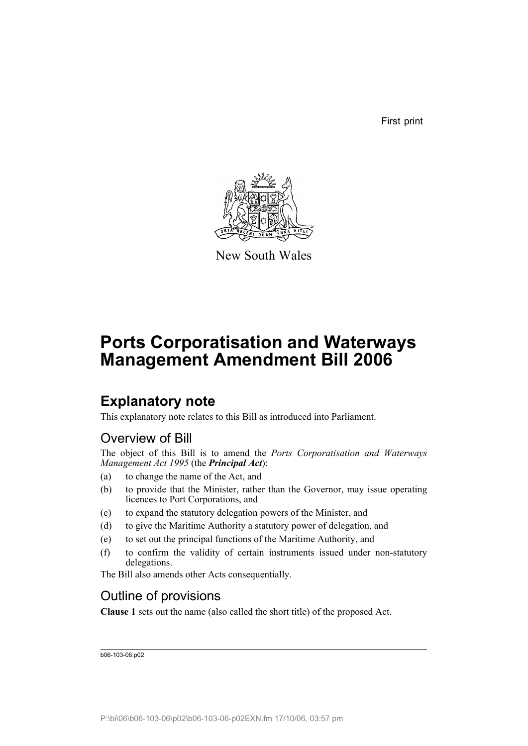First print



New South Wales

# **Ports Corporatisation and Waterways Management Amendment Bill 2006**

# **Explanatory note**

This explanatory note relates to this Bill as introduced into Parliament.

## Overview of Bill

The object of this Bill is to amend the *Ports Corporatisation and Waterways Management Act 1995* (the *Principal Act*):

- (a) to change the name of the Act, and
- (b) to provide that the Minister, rather than the Governor, may issue operating licences to Port Corporations, and
- (c) to expand the statutory delegation powers of the Minister, and
- (d) to give the Maritime Authority a statutory power of delegation, and
- (e) to set out the principal functions of the Maritime Authority, and
- (f) to confirm the validity of certain instruments issued under non-statutory delegations.

The Bill also amends other Acts consequentially.

# Outline of provisions

**Clause 1** sets out the name (also called the short title) of the proposed Act.

b06-103-06.p02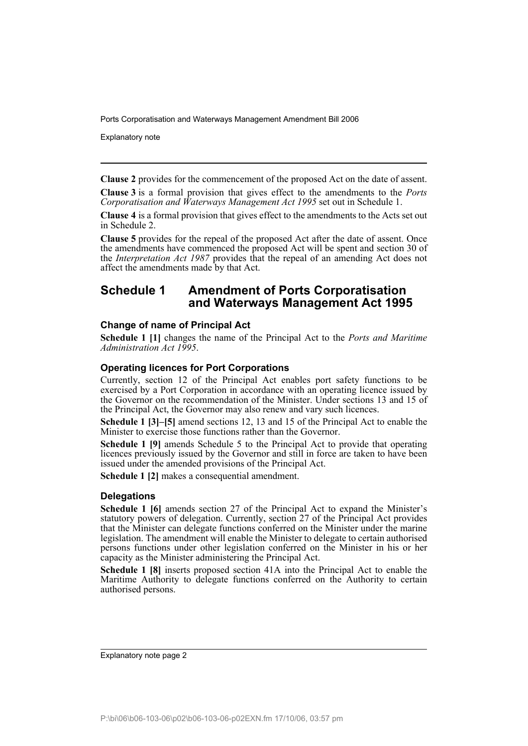Explanatory note

**Clause 2** provides for the commencement of the proposed Act on the date of assent.

**Clause 3** is a formal provision that gives effect to the amendments to the *Ports Corporatisation and Waterways Management Act 1995* set out in Schedule 1.

**Clause 4** is a formal provision that gives effect to the amendments to the Acts set out in Schedule 2.

**Clause 5** provides for the repeal of the proposed Act after the date of assent. Once the amendments have commenced the proposed Act will be spent and section 30 of the *Interpretation Act 1987* provides that the repeal of an amending Act does not affect the amendments made by that Act.

## **Schedule 1 Amendment of Ports Corporatisation and Waterways Management Act 1995**

## **Change of name of Principal Act**

**Schedule 1 [1]** changes the name of the Principal Act to the *Ports and Maritime Administration Act 1995*.

## **Operating licences for Port Corporations**

Currently, section 12 of the Principal Act enables port safety functions to be exercised by a Port Corporation in accordance with an operating licence issued by the Governor on the recommendation of the Minister. Under sections 13 and 15 of the Principal Act, the Governor may also renew and vary such licences.

**Schedule 1 [3]–[5]** amend sections 12, 13 and 15 of the Principal Act to enable the Minister to exercise those functions rather than the Governor.

**Schedule 1 [9]** amends Schedule 5 to the Principal Act to provide that operating licences previously issued by the Governor and still in force are taken to have been issued under the amended provisions of the Principal Act.

**Schedule 1 [2]** makes a consequential amendment.

## **Delegations**

**Schedule 1 [6]** amends section 27 of the Principal Act to expand the Minister's statutory powers of delegation. Currently, section 27 of the Principal Act provides that the Minister can delegate functions conferred on the Minister under the marine legislation. The amendment will enable the Minister to delegate to certain authorised persons functions under other legislation conferred on the Minister in his or her capacity as the Minister administering the Principal Act.

**Schedule 1 [8]** inserts proposed section 41A into the Principal Act to enable the Maritime Authority to delegate functions conferred on the Authority to certain authorised persons.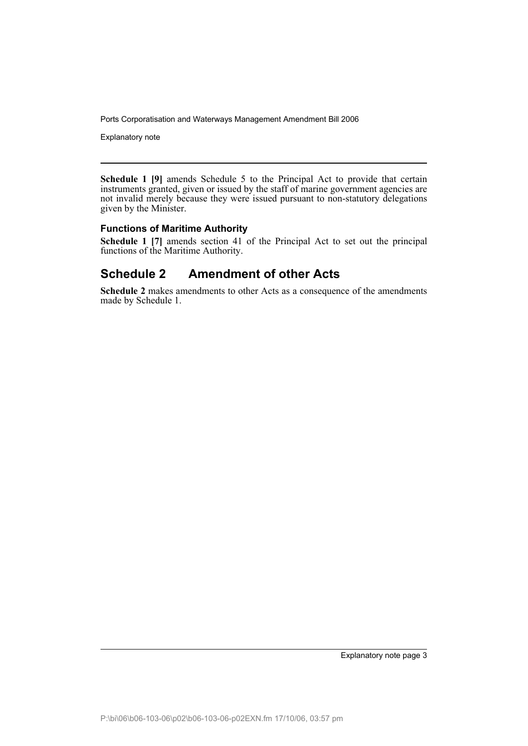Explanatory note

**Schedule 1 [9]** amends Schedule 5 to the Principal Act to provide that certain instruments granted, given or issued by the staff of marine government agencies are not invalid merely because they were issued pursuant to non-statutory delegations given by the Minister.

## **Functions of Maritime Authority**

**Schedule 1 [7]** amends section 41 of the Principal Act to set out the principal functions of the Maritime Authority.

## **Schedule 2 Amendment of other Acts**

**Schedule 2** makes amendments to other Acts as a consequence of the amendments made by Schedule 1.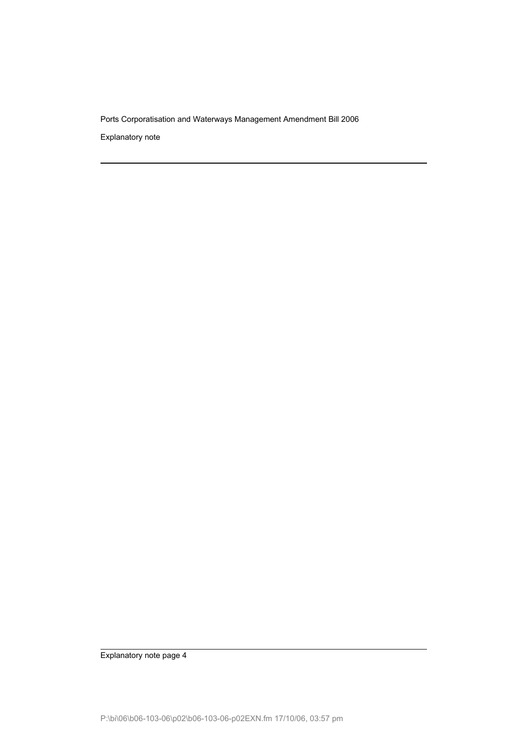Explanatory note

Explanatory note page 4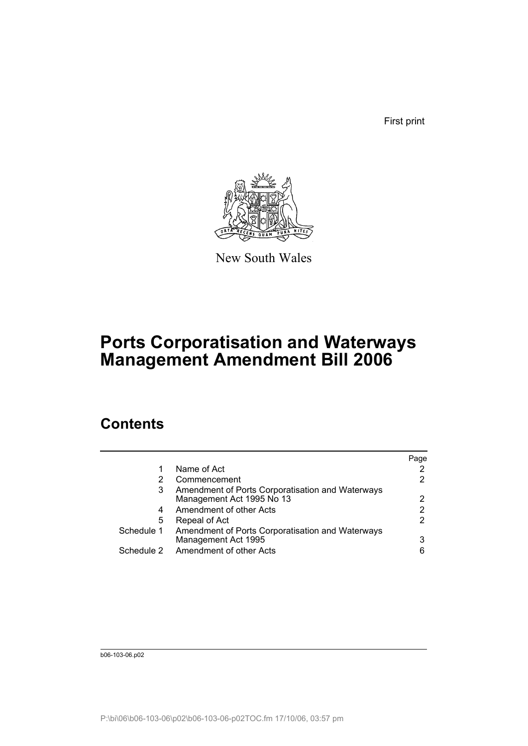First print



New South Wales

# **Ports Corporatisation and Waterways Management Amendment Bill 2006**

# **Contents**

|            |                                                  | Page |
|------------|--------------------------------------------------|------|
| 1          | Name of Act                                      |      |
| 2          | Commencement                                     | 2    |
| 3          | Amendment of Ports Corporatisation and Waterways |      |
|            | Management Act 1995 No 13                        | 2    |
| 4          | Amendment of other Acts                          | 2    |
| 5          | Repeal of Act                                    | 2    |
| Schedule 1 | Amendment of Ports Corporatisation and Waterways |      |
|            | Management Act 1995                              | 3    |
| Schedule 2 | Amendment of other Acts                          | 6    |

b06-103-06.p02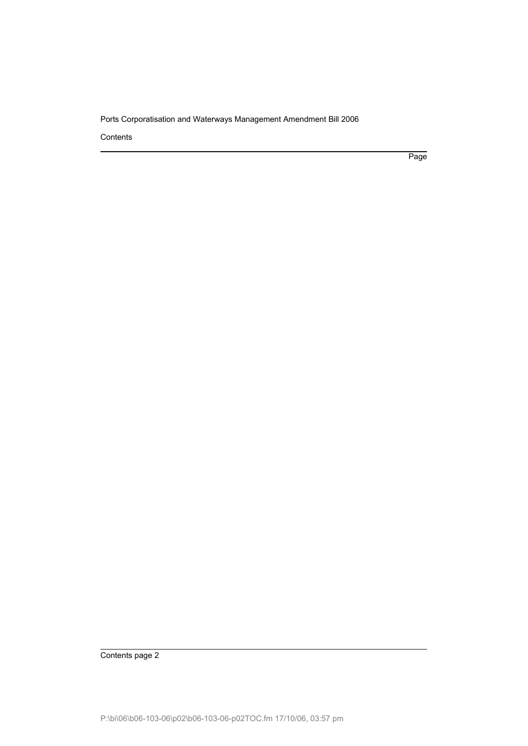**Contents** 

Page

Contents page 2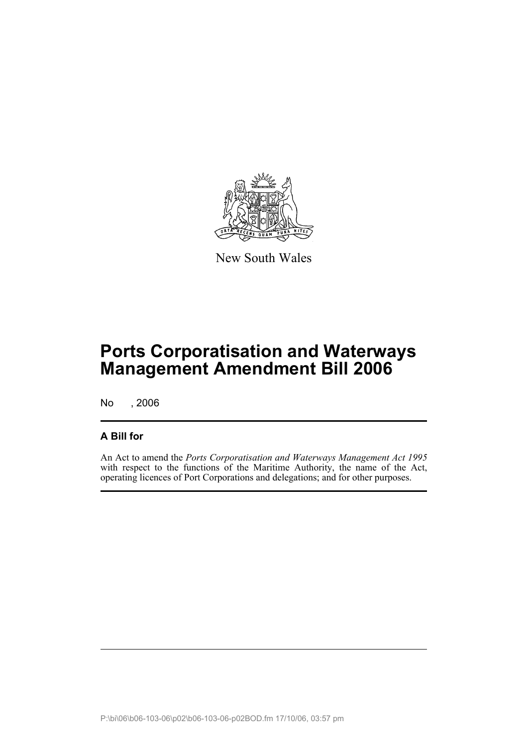

New South Wales

# **Ports Corporatisation and Waterways Management Amendment Bill 2006**

No , 2006

## **A Bill for**

An Act to amend the *Ports Corporatisation and Waterways Management Act 1995* with respect to the functions of the Maritime Authority, the name of the Act, operating licences of Port Corporations and delegations; and for other purposes.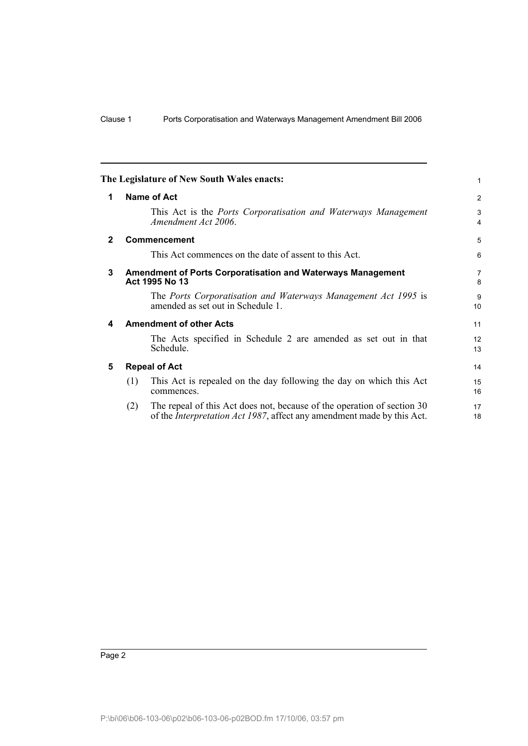|              |     | The Legislature of New South Wales enacts:                                                                                                                | 1        |
|--------------|-----|-----------------------------------------------------------------------------------------------------------------------------------------------------------|----------|
| 1            |     | Name of Act                                                                                                                                               | 2        |
|              |     | This Act is the <i>Ports Corporatisation and Waterways Management</i><br>Amendment Act 2006.                                                              | 3<br>4   |
| $\mathbf{2}$ |     | Commencement                                                                                                                                              | 5        |
|              |     | This Act commences on the date of assent to this Act.                                                                                                     | 6        |
| 3            |     | Amendment of Ports Corporatisation and Waterways Management<br>Act 1995 No 13                                                                             | 7<br>8   |
|              |     | The Ports Corporatisation and Waterways Management Act 1995 is<br>amended as set out in Schedule 1.                                                       | 9<br>10  |
| 4            |     | <b>Amendment of other Acts</b>                                                                                                                            | 11       |
|              |     | The Acts specified in Schedule 2 are amended as set out in that<br>Schedule.                                                                              | 12<br>13 |
| 5            |     | <b>Repeal of Act</b>                                                                                                                                      | 14       |
|              | (1) | This Act is repealed on the day following the day on which this Act<br>commences.                                                                         | 15<br>16 |
|              | (2) | The repeal of this Act does not, because of the operation of section 30<br>of the <i>Interpretation Act 1987</i> , affect any amendment made by this Act. | 17<br>18 |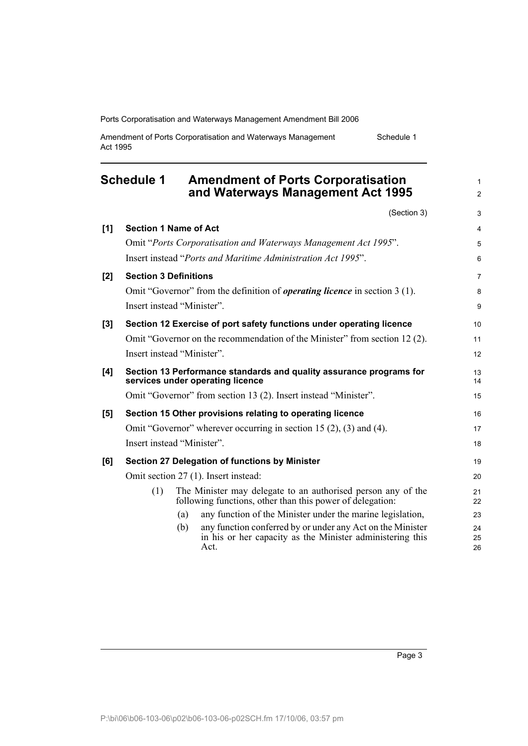| Amendment of Ports Corporatisation and Waterways Management | Schedule 1 |
|-------------------------------------------------------------|------------|
| Act 1995                                                    |            |

## **Schedule 1 Amendment of Ports Corporatisation and Waterways Management Act 1995**

(Section 3)

1 2

3

| [1] | <b>Section 1 Name of Act</b>                                                                                                           | $\overline{4}$ |
|-----|----------------------------------------------------------------------------------------------------------------------------------------|----------------|
|     | Omit "Ports Corporatisation and Waterways Management Act 1995".                                                                        | 5              |
|     | Insert instead " <i>Ports and Maritime Administration Act 1995</i> ".                                                                  | 6              |
| [2] | <b>Section 3 Definitions</b>                                                                                                           | $\overline{7}$ |
|     | Omit "Governor" from the definition of <i>operating licence</i> in section 3 (1).                                                      | 8              |
|     | Insert instead "Minister".                                                                                                             | 9              |
| [3] | Section 12 Exercise of port safety functions under operating licence                                                                   | 10             |
|     | Omit "Governor on the recommendation of the Minister" from section 12(2).                                                              | 11             |
|     | Insert instead "Minister".                                                                                                             | 12             |
| [4] | Section 13 Performance standards and quality assurance programs for<br>services under operating licence                                | 13<br>14       |
|     | Omit "Governor" from section 13 (2). Insert instead "Minister".                                                                        | 15             |
| [5] | Section 15 Other provisions relating to operating licence                                                                              | 16             |
|     | Omit "Governor" wherever occurring in section 15 $(2)$ , $(3)$ and $(4)$ .                                                             | 17             |
|     | Insert instead "Minister".                                                                                                             | 18             |
| [6] | Section 27 Delegation of functions by Minister                                                                                         | 19             |
|     | Omit section 27 (1). Insert instead:                                                                                                   | 20             |
|     | The Minister may delegate to an authorised person any of the<br>(1)<br>following functions, other than this power of delegation:       | 21<br>22       |
|     | any function of the Minister under the marine legislation,<br>(a)                                                                      | 23             |
|     | any function conferred by or under any Act on the Minister<br>(b)<br>in his or her capacity as the Minister administering this<br>Act. | 24<br>25<br>26 |
|     |                                                                                                                                        |                |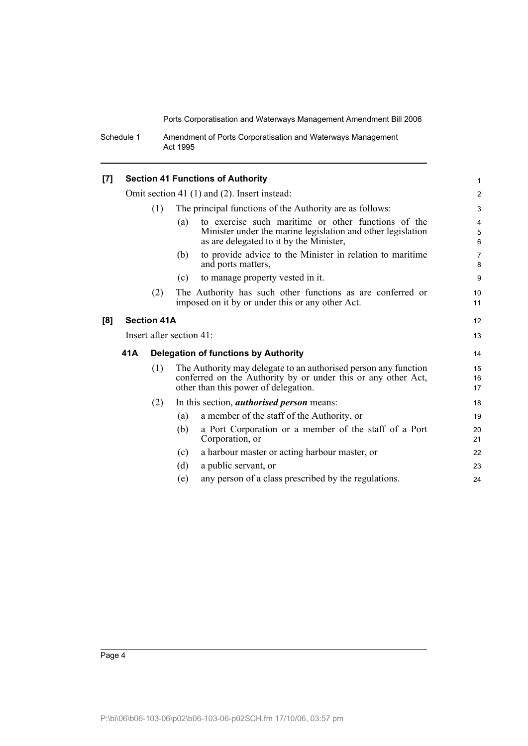Schedule 1 Amendment of Ports Corporatisation and Waterways Management Act 1995

#### **[7] Section 41 Functions of Authority** Omit section 41 (1) and (2). Insert instead: (1) The principal functions of the Authority are as follows: (a) to exercise such maritime or other functions of the Minister under the marine legislation and other legislation as are delegated to it by the Minister, (b) to provide advice to the Minister in relation to maritime and ports matters, (c) to manage property vested in it. (2) The Authority has such other functions as are conferred or imposed on it by or under this or any other Act. **[8] Section 41A** Insert after section 41: **41A Delegation of functions by Authority** (1) The Authority may delegate to an authorised person any function conferred on the Authority by or under this or any other Act, other than this power of delegation. (2) In this section, *authorised person* means: (a) a member of the staff of the Authority, or (b) a Port Corporation or a member of the staff of a Port Corporation, or (c) a harbour master or acting harbour master, or (d) a public servant, or (e) any person of a class prescribed by the regulations. 1 2 3 4 5 6 7 8 9 10 11 12 13 14 15 16 17 18 19 20 21 22 23  $24$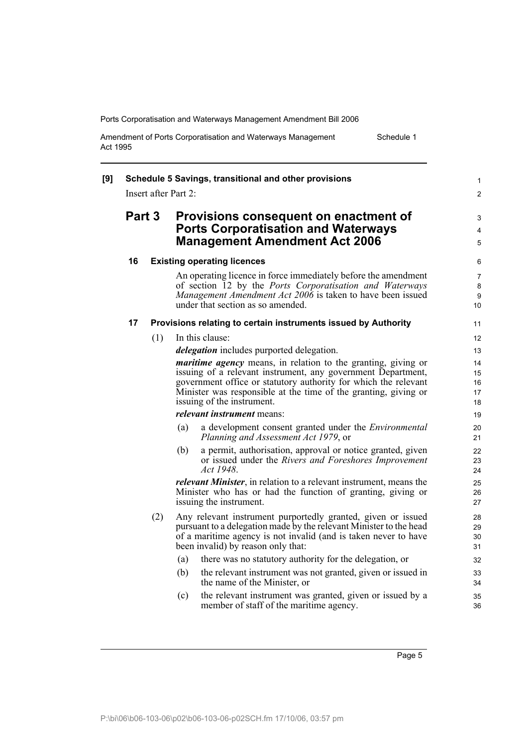Amendment of Ports Corporatisation and Waterways Management Act 1995

1  $\mathfrak{p}$ 

3 4 5

Schedule 1

## **[9] Schedule 5 Savings, transitional and other provisions**

Insert after Part 2:

## **Part 3 Provisions consequent on enactment of Ports Corporatisation and Waterways Management Amendment Act 2006**

## **16 Existing operating licences**

An operating licence in force immediately before the amendment of section 12 by the *Ports Corporatisation and Waterways Management Amendment Act 2006* is taken to have been issued under that section as so amended.

## **17 Provisions relating to certain instruments issued by Authority**

(1) In this clause:

*delegation* includes purported delegation.

*maritime agency* means, in relation to the granting, giving or issuing of a relevant instrument, any government Department, government office or statutory authority for which the relevant Minister was responsible at the time of the granting, giving or issuing of the instrument.

#### *relevant instrument* means:

- (a) a development consent granted under the *Environmental Planning and Assessment Act 1979*, or
- (b) a permit, authorisation, approval or notice granted, given or issued under the *Rivers and Foreshores Improvement Act 1948*.

*relevant Minister*, in relation to a relevant instrument, means the Minister who has or had the function of granting, giving or issuing the instrument.

- (2) Any relevant instrument purportedly granted, given or issued pursuant to a delegation made by the relevant Minister to the head of a maritime agency is not invalid (and is taken never to have been invalid) by reason only that:
	- (a) there was no statutory authority for the delegation, or
	- (b) the relevant instrument was not granted, given or issued in the name of the Minister, or
	- (c) the relevant instrument was granted, given or issued by a member of staff of the maritime agency.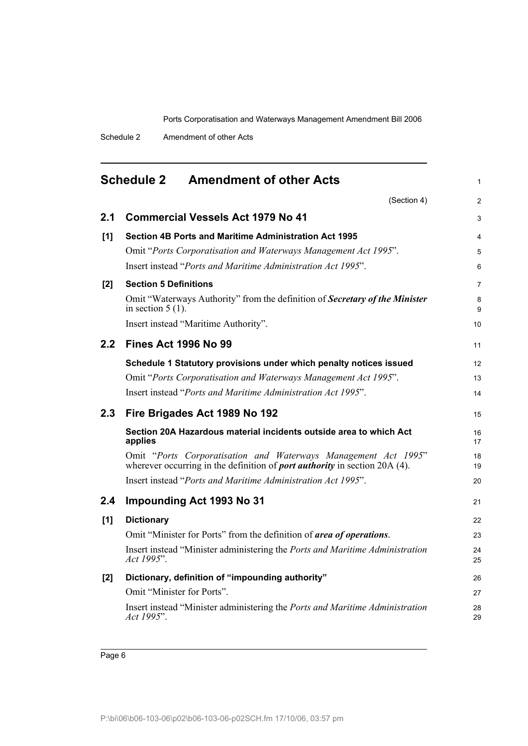|               | <b>Schedule 2</b><br><b>Amendment of other Acts</b>                                                                                                 | 1              |
|---------------|-----------------------------------------------------------------------------------------------------------------------------------------------------|----------------|
|               | (Section 4)                                                                                                                                         | 2              |
| 2.1           | <b>Commercial Vessels Act 1979 No 41</b>                                                                                                            | 3              |
| [1]           | <b>Section 4B Ports and Maritime Administration Act 1995</b>                                                                                        | 4              |
|               | Omit "Ports Corporatisation and Waterways Management Act 1995".                                                                                     | 5              |
|               | Insert instead "Ports and Maritime Administration Act 1995".                                                                                        | 6              |
| $[2]$         | <b>Section 5 Definitions</b>                                                                                                                        | $\overline{7}$ |
|               | Omit "Waterways Authority" from the definition of Secretary of the Minister<br>in section $5(1)$ .                                                  | 8<br>9         |
|               | Insert instead "Maritime Authority".                                                                                                                | 10             |
| $2.2^{\circ}$ | <b>Fines Act 1996 No 99</b>                                                                                                                         | 11             |
|               | Schedule 1 Statutory provisions under which penalty notices issued                                                                                  | 12             |
|               | Omit "Ports Corporatisation and Waterways Management Act 1995".                                                                                     | 13             |
|               | Insert instead "Ports and Maritime Administration Act 1995".                                                                                        | 14             |
| 2.3           | Fire Brigades Act 1989 No 192                                                                                                                       | 15             |
|               | Section 20A Hazardous material incidents outside area to which Act<br>applies                                                                       | 16<br>17       |
|               | Omit "Ports Corporatisation and Waterways Management Act 1995"<br>wherever occurring in the definition of <i>port authority</i> in section 20A (4). | 18<br>19       |
|               | Insert instead "Ports and Maritime Administration Act 1995".                                                                                        | 20             |
| 2.4           | Impounding Act 1993 No 31                                                                                                                           | 21             |
| [1]           | <b>Dictionary</b>                                                                                                                                   | 22             |
|               | Omit "Minister for Ports" from the definition of <i>area of operations</i> .                                                                        | 23             |
|               | Insert instead "Minister administering the Ports and Maritime Administration<br>Act 1995".                                                          | 24<br>25       |
| [2]           | Dictionary, definition of "impounding authority"                                                                                                    | 26             |
|               | Omit "Minister for Ports".                                                                                                                          | 27             |
|               | Insert instead "Minister administering the Ports and Maritime Administration<br>Act 1995".                                                          | 28<br>29       |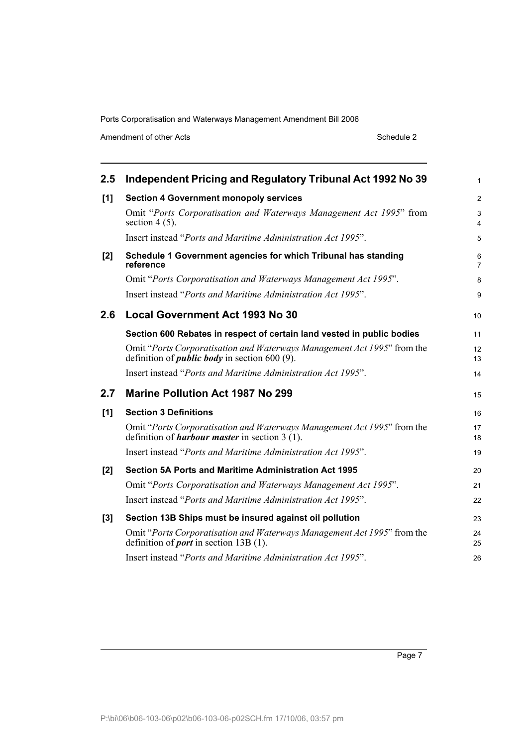Amendment of other Acts Schedule 2

| 2.5 | Independent Pricing and Regulatory Tribunal Act 1992 No 39                                                                         | $\mathbf{1}$        |
|-----|------------------------------------------------------------------------------------------------------------------------------------|---------------------|
| [1] | <b>Section 4 Government monopoly services</b>                                                                                      | $\overline{2}$      |
|     | Omit "Ports Corporatisation and Waterways Management Act 1995" from<br>section $4(5)$ .                                            | $\mathsf 3$<br>4    |
|     | Insert instead "Ports and Maritime Administration Act 1995".                                                                       | 5                   |
| [2] | Schedule 1 Government agencies for which Tribunal has standing<br>reference                                                        | 6<br>$\overline{7}$ |
|     | Omit "Ports Corporatisation and Waterways Management Act 1995".                                                                    | 8                   |
|     | Insert instead "Ports and Maritime Administration Act 1995".                                                                       | 9                   |
| 2.6 | <b>Local Government Act 1993 No 30</b>                                                                                             | 10                  |
|     | Section 600 Rebates in respect of certain land vested in public bodies                                                             | 11                  |
|     | Omit "Ports Corporatisation and Waterways Management Act 1995" from the<br>definition of <i>public body</i> in section 600 $(9)$ . | 12<br>13            |
|     | Insert instead "Ports and Maritime Administration Act 1995".                                                                       | 14                  |
| 2.7 | <b>Marine Pollution Act 1987 No 299</b>                                                                                            | 15                  |
| [1] | <b>Section 3 Definitions</b>                                                                                                       | 16                  |
|     | Omit "Ports Corporatisation and Waterways Management Act 1995" from the<br>definition of <i>harbour master</i> in section $3(1)$ . | 17<br>18            |
|     | Insert instead "Ports and Maritime Administration Act 1995".                                                                       | 19                  |
| [2] | <b>Section 5A Ports and Maritime Administration Act 1995</b>                                                                       | 20                  |
|     | Omit "Ports Corporatisation and Waterways Management Act 1995".                                                                    | 21                  |
|     | Insert instead "Ports and Maritime Administration Act 1995".                                                                       | 22                  |
| [3] | Section 13B Ships must be insured against oil pollution                                                                            | 23                  |
|     | Omit "Ports Corporatisation and Waterways Management Act 1995" from the<br>definition of <i>port</i> in section 13B $(1)$ .        | 24<br>25            |
|     | Insert instead "Ports and Maritime Administration Act 1995".                                                                       | 26                  |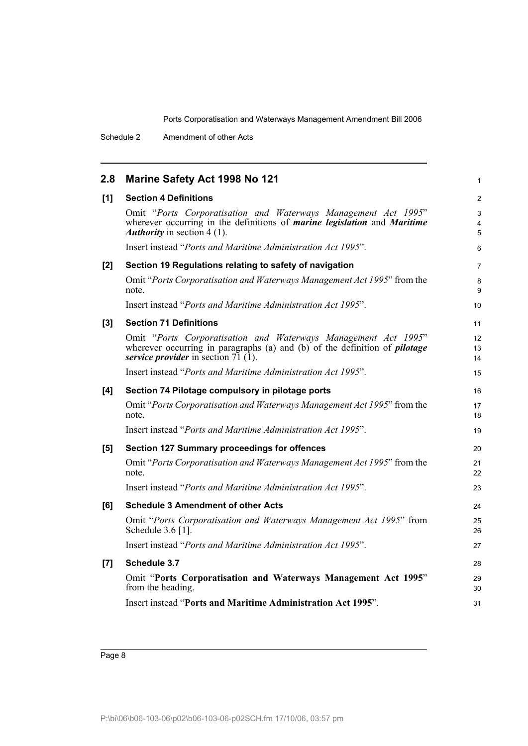| 2.8 | Marine Safety Act 1998 No 121                                                                                                                                                                    | $\mathbf{1}$   |
|-----|--------------------------------------------------------------------------------------------------------------------------------------------------------------------------------------------------|----------------|
| [1] | <b>Section 4 Definitions</b>                                                                                                                                                                     | 2              |
|     | Omit "Ports Corporatisation and Waterways Management Act 1995"<br>wherever occurring in the definitions of <i>marine legislation</i> and <i>Maritime</i><br><i>Authority</i> in section $4(1)$ . | 3<br>4<br>5    |
|     | Insert instead "Ports and Maritime Administration Act 1995".                                                                                                                                     | 6              |
| [2] | Section 19 Regulations relating to safety of navigation                                                                                                                                          | $\overline{7}$ |
|     | Omit "Ports Corporatisation and Waterways Management Act 1995" from the<br>note.                                                                                                                 | 8<br>9         |
|     | Insert instead "Ports and Maritime Administration Act 1995".                                                                                                                                     | 10             |
| [3] | <b>Section 71 Definitions</b>                                                                                                                                                                    | 11             |
|     | Omit "Ports Corporatisation and Waterways Management Act 1995"<br>wherever occurring in paragraphs (a) and (b) of the definition of <i>pilotage</i><br>service provider in section $71$ (1).     | 12<br>13<br>14 |
|     | Insert instead "Ports and Maritime Administration Act 1995".                                                                                                                                     | 15             |
| [4] | Section 74 Pilotage compulsory in pilotage ports                                                                                                                                                 | 16             |
|     | Omit "Ports Corporatisation and Waterways Management Act 1995" from the<br>note.                                                                                                                 | 17<br>18       |
|     | Insert instead "Ports and Maritime Administration Act 1995".                                                                                                                                     | 19             |
| [5] | <b>Section 127 Summary proceedings for offences</b>                                                                                                                                              | 20             |
|     | Omit "Ports Corporatisation and Waterways Management Act 1995" from the<br>note.                                                                                                                 | 21<br>22       |
|     | Insert instead "Ports and Maritime Administration Act 1995".                                                                                                                                     | 23             |
| [6] | <b>Schedule 3 Amendment of other Acts</b>                                                                                                                                                        | 24             |
|     | Omit "Ports Corporatisation and Waterways Management Act 1995" from<br>Schedule 3.6 [1].                                                                                                         | 25<br>26       |
|     | Insert instead "Ports and Maritime Administration Act 1995".                                                                                                                                     | 27             |
| [7] | Schedule 3.7                                                                                                                                                                                     | 28             |
|     | Omit "Ports Corporatisation and Waterways Management Act 1995"<br>from the heading.                                                                                                              | 29<br>30       |
|     | Insert instead "Ports and Maritime Administration Act 1995".                                                                                                                                     | 31             |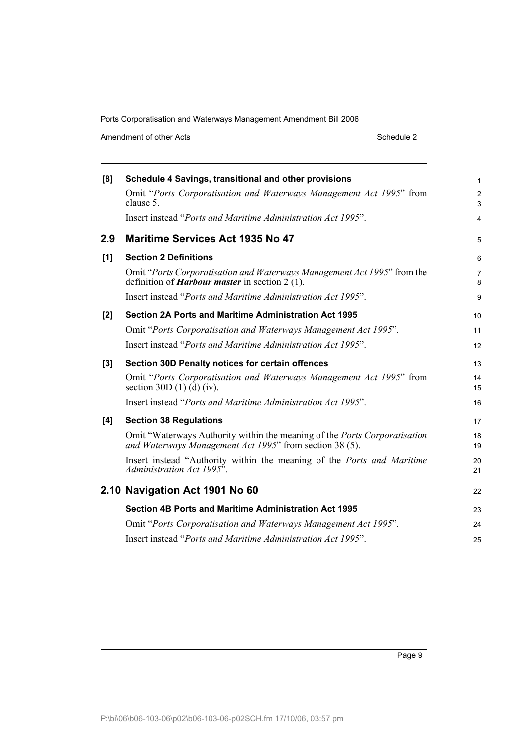Amendment of other Acts Schedule 2

| [8] | Schedule 4 Savings, transitional and other provisions                                                                                       | $\mathbf{1}$        |
|-----|---------------------------------------------------------------------------------------------------------------------------------------------|---------------------|
|     | Omit "Ports Corporatisation and Waterways Management Act 1995" from<br>clause 5.                                                            | $\overline{c}$<br>3 |
|     | Insert instead "Ports and Maritime Administration Act 1995".                                                                                | $\overline{4}$      |
| 2.9 | <b>Maritime Services Act 1935 No 47</b>                                                                                                     | 5                   |
| [1] | <b>Section 2 Definitions</b>                                                                                                                | 6                   |
|     | Omit "Ports Corporatisation and Waterways Management Act 1995" from the<br>definition of <i>Harbour master</i> in section $2(1)$ .          | $\overline{7}$<br>8 |
|     | Insert instead "Ports and Maritime Administration Act 1995".                                                                                | 9                   |
| [2] | <b>Section 2A Ports and Maritime Administration Act 1995</b>                                                                                | 10                  |
|     | Omit "Ports Corporatisation and Waterways Management Act 1995".                                                                             | 11                  |
|     | Insert instead " <i>Ports and Maritime Administration Act 1995</i> ".                                                                       | 12                  |
| [3] | Section 30D Penalty notices for certain offences                                                                                            | 13                  |
|     | Omit "Ports Corporatisation and Waterways Management Act 1995" from<br>section 30D $(1)$ $(d)$ $(iv)$ .                                     | 14<br>15            |
|     | Insert instead "Ports and Maritime Administration Act 1995".                                                                                | 16                  |
| [4] | <b>Section 38 Regulations</b>                                                                                                               | 17                  |
|     | Omit "Waterways Authority within the meaning of the <i>Ports Corporatisation</i><br>and Waterways Management Act 1995" from section 38 (5). | 18<br>19            |
|     | Insert instead "Authority within the meaning of the Ports and Maritime<br>Administration Act 1995".                                         | 20<br>21            |
|     | 2.10 Navigation Act 1901 No 60                                                                                                              | 22                  |
|     | Section 4B Ports and Maritime Administration Act 1995                                                                                       | 23                  |
|     | Omit "Ports Corporatisation and Waterways Management Act 1995".                                                                             | 24                  |
|     | Insert instead "Ports and Maritime Administration Act 1995".                                                                                | 25                  |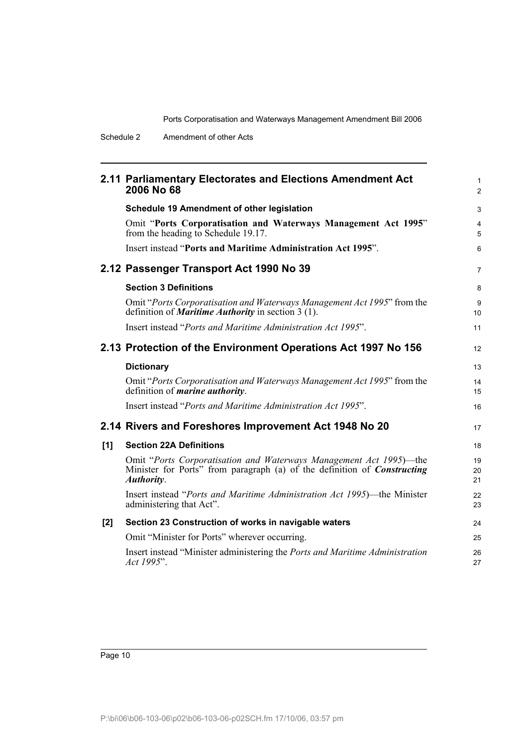|     | 2.11 Parliamentary Electorates and Elections Amendment Act<br>2006 No 68                                                                                     | 1<br>$\overline{2}$ |
|-----|--------------------------------------------------------------------------------------------------------------------------------------------------------------|---------------------|
|     | <b>Schedule 19 Amendment of other legislation</b>                                                                                                            | $\mathsf 3$         |
|     | Omit "Ports Corporatisation and Waterways Management Act 1995"<br>from the heading to Schedule 19.17.                                                        | $\overline{4}$<br>5 |
|     | Insert instead "Ports and Maritime Administration Act 1995".                                                                                                 | 6                   |
|     | 2.12 Passenger Transport Act 1990 No 39                                                                                                                      | $\overline{7}$      |
|     | <b>Section 3 Definitions</b>                                                                                                                                 | 8                   |
|     | Omit "Ports Corporatisation and Waterways Management Act 1995" from the<br>definition of <i>Maritime Authority</i> in section $3(1)$ .                       | 9<br>10             |
|     | Insert instead "Ports and Maritime Administration Act 1995".                                                                                                 | 11                  |
|     | 2.13 Protection of the Environment Operations Act 1997 No 156                                                                                                | 12                  |
|     | <b>Dictionary</b>                                                                                                                                            | 13                  |
|     | Omit "Ports Corporatisation and Waterways Management Act 1995" from the<br>definition of <i>marine authority</i> .                                           | 14<br>15            |
|     | Insert instead " <i>Ports and Maritime Administration Act 1995</i> ".                                                                                        | 16                  |
|     | 2.14 Rivers and Foreshores Improvement Act 1948 No 20                                                                                                        | 17                  |
| [1] | <b>Section 22A Definitions</b>                                                                                                                               | 18                  |
|     | Omit "Ports Corporatisation and Waterways Management Act 1995)—the<br>Minister for Ports" from paragraph (a) of the definition of Constructing<br>Authority. | 19<br>20<br>21      |
|     | Insert instead "Ports and Maritime Administration Act 1995)—the Minister<br>administering that Act".                                                         | 22<br>23            |
| [2] | Section 23 Construction of works in navigable waters                                                                                                         | 24                  |
|     | Omit "Minister for Ports" wherever occurring.                                                                                                                | 25                  |
|     | Insert instead "Minister administering the Ports and Maritime Administration<br>Act 1995".                                                                   | 26<br>27            |